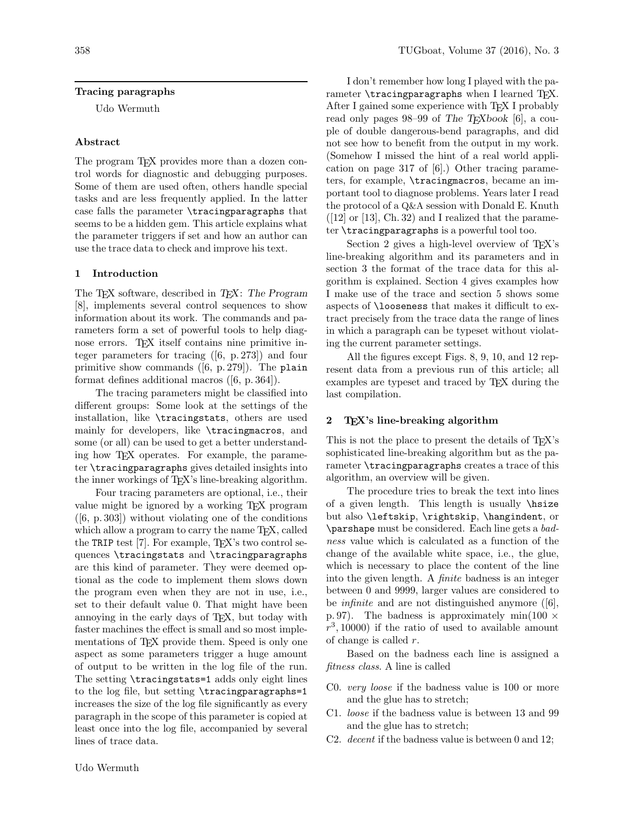# Tracing paragraphs

Udo Wermuth

## Abstract

The program T<sub>F</sub>X provides more than a dozen control words for diagnostic and debugging purposes. Some of them are used often, others handle special tasks and are less frequently applied. In the latter case falls the parameter \tracingparagraphs that seems to be a hidden gem. This article explains what the parameter triggers if set and how an author can use the trace data to check and improve his text.

## 1 Introduction

The T<sub>EX</sub> software, described in T<sub>EX</sub>: The Program [8], implements several control sequences to show information about its work. The commands and parameters form a set of powerful tools to help diagnose errors. TEX itself contains nine primitive integer parameters for tracing ([6, p. 273]) and four primitive show commands  $([6, p. 279])$ . The plain format defines additional macros ([6, p. 364]).

The tracing parameters might be classified into different groups: Some look at the settings of the installation, like \tracingstats, others are used mainly for developers, like \tracingmacros, and some (or all) can be used to get a better understanding how TEX operates. For example, the parameter \tracingparagraphs gives detailed insights into the inner workings of T<sub>E</sub>X's line-breaking algorithm.

Four tracing parameters are optional, i.e., their value might be ignored by a working TEX program  $([6, p. 303])$  without violating one of the conditions which allow a program to carry the name T<sub>E</sub>X, called the TRIP test  $[7]$ . For example, T<sub>EX</sub>'s two control sequences \tracingstats and \tracingparagraphs are this kind of parameter. They were deemed optional as the code to implement them slows down the program even when they are not in use, i.e., set to their default value 0. That might have been annoying in the early days of TEX, but today with faster machines the effect is small and so most implementations of TEX provide them. Speed is only one aspect as some parameters trigger a huge amount of output to be written in the log file of the run. The setting \tracingstats=1 adds only eight lines to the log file, but setting \tracingparagraphs=1 increases the size of the log file significantly as every paragraph in the scope of this parameter is copied at least once into the log file, accompanied by several lines of trace data.

I don't remember how long I played with the parameter  $\tau$  independent approximation is when I learned T<sub>E</sub>X. After I gained some experience with TFX I probably read only pages 98–99 of The TEXbook [6], a couple of double dangerous-bend paragraphs, and did not see how to benefit from the output in my work. (Somehow I missed the hint of a real world application on page 317 of [6].) Other tracing parameters, for example, \tracingmacros, became an important tool to diagnose problems. Years later I read the protocol of a Q&A session with Donald E. Knuth  $([12] \text{ or } [13], \text{Ch. } 32)$  and I realized that the parameter \tracingparagraphs is a powerful tool too.

Section 2 gives a high-level overview of T<sub>E</sub>X's line-breaking algorithm and its parameters and in section 3 the format of the trace data for this algorithm is explained. Section 4 gives examples how I make use of the trace and section 5 shows some aspects of \looseness that makes it difficult to extract precisely from the trace data the range of lines in which a paragraph can be typeset without violating the current parameter settings.

All the figures except Figs. 8, 9, 10, and 12 represent data from a previous run of this article; all examples are typeset and traced by T<sub>E</sub>X during the last compilation.

## 2 TEX's line-breaking algorithm

This is not the place to present the details of T<sub>EX</sub>'s sophisticated line-breaking algorithm but as the parameter \tracingparagraphs creates a trace of this algorithm, an overview will be given.

The procedure tries to break the text into lines of a given length. This length is usually \hsize but also \leftskip, \rightskip, \hangindent, or \parshape must be considered. Each line gets a badness value which is calculated as a function of the change of the available white space, i.e., the glue, which is necessary to place the content of the line into the given length. A finite badness is an integer between 0 and 9999, larger values are considered to be *infinite* and are not distinguished anymore  $([6],$ p. 97). The badness is approximately min $(100 \times$  $r^3$ , 10000) if the ratio of used to available amount of change is called  $r$ .

Based on the badness each line is assigned a fitness class. A line is called

- C0. very loose if the badness value is 100 or more and the glue has to stretch;
- C1. loose if the badness value is between 13 and 99 and the glue has to stretch;
- C2. decent if the badness value is between 0 and 12;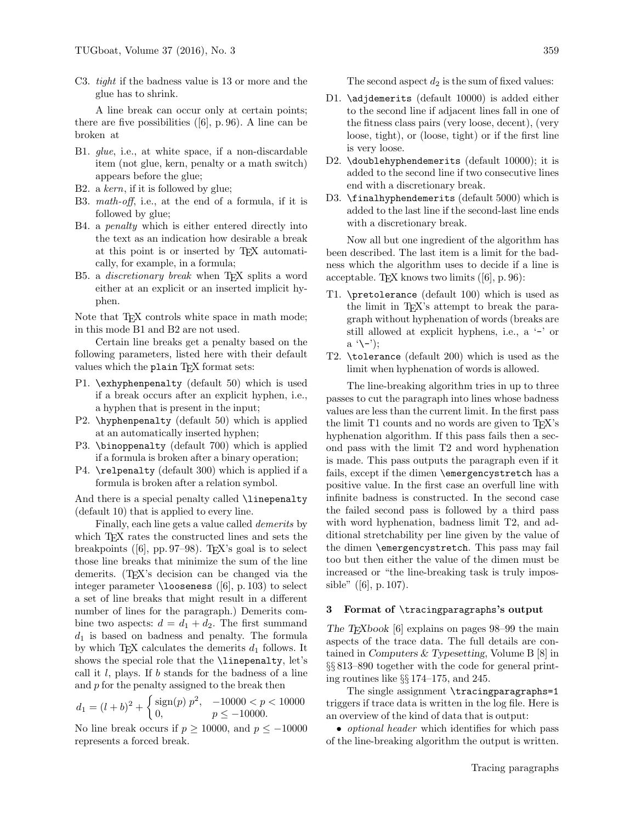C3. tight if the badness value is 13 or more and the glue has to shrink.

A line break can occur only at certain points; there are five possibilities ([6], p. 96). A line can be broken at

- B1. glue, i.e., at white space, if a non-discardable item (not glue, kern, penalty or a math switch) appears before the glue;
- B2. a kern, if it is followed by glue;
- B3. math-off, i.e., at the end of a formula, if it is followed by glue;
- B4. a penalty which is either entered directly into the text as an indication how desirable a break at this point is or inserted by TEX automatically, for example, in a formula;
- B5. a *discretionary* break when T<sub>F</sub>X splits a word either at an explicit or an inserted implicit hyphen.

Note that T<sub>F</sub>X controls white space in math mode; in this mode B1 and B2 are not used.

Certain line breaks get a penalty based on the following parameters, listed here with their default values which the plain TEX format sets:

- P1. \exhyphenpenalty (default 50) which is used if a break occurs after an explicit hyphen, i.e., a hyphen that is present in the input;
- P2. \hyphenpenalty (default 50) which is applied at an automatically inserted hyphen;
- P3. \binoppenalty (default 700) which is applied if a formula is broken after a binary operation;
- P4. \relpenalty (default 300) which is applied if a formula is broken after a relation symbol.

And there is a special penalty called **\linepenalty** (default 10) that is applied to every line.

Finally, each line gets a value called demerits by which T<sub>E</sub>X rates the constructed lines and sets the breakpoints ([6], pp. 97–98). T<sub>E</sub>X's goal is to select those line breaks that minimize the sum of the line demerits. (T<sub>EX</sub>'s decision can be changed via the integer parameter  $\lambda$ looseness ([6], p. 103) to select a set of line breaks that might result in a different number of lines for the paragraph.) Demerits combine two aspects:  $d = d_1 + d_2$ . The first summand  $d_1$  is based on badness and penalty. The formula by which T<sub>E</sub>X calculates the demerits  $d_1$  follows. It shows the special role that the \linepenalty, let's call it  $l$ , plays. If  $b$  stands for the badness of a line and  $p$  for the penalty assigned to the break then

$$
d_1 = (l+b)^2 + \begin{cases} \text{sign}(p) \ p^2, & -10000 < p < 10000 \\ 0, & p \le -10000. \end{cases}
$$

No line break occurs if  $p \ge 10000$ , and  $p \le -10000$ represents a forced break.

The second aspect  $d_2$  is the sum of fixed values:

- D1. \adjdemerits (default 10000) is added either to the second line if adjacent lines fall in one of the fitness class pairs (very loose, decent), (very loose, tight), or (loose, tight) or if the first line is very loose.
- D2. \doublehyphendemerits (default 10000); it is added to the second line if two consecutive lines end with a discretionary break.
- D3. \finalhyphendemerits (default 5000) which is added to the last line if the second-last line ends with a discretionary break.

Now all but one ingredient of the algorithm has been described. The last item is a limit for the badness which the algorithm uses to decide if a line is acceptable. TEX knows two limits  $([6], p. 96)$ :

- T1. \pretolerance (default 100) which is used as the limit in TEX's attempt to break the paragraph without hyphenation of words (breaks are still allowed at explicit hyphens, i.e., a '-' or  $a'(-')$ ;
- T2. \tolerance (default 200) which is used as the limit when hyphenation of words is allowed.

The line-breaking algorithm tries in up to three passes to cut the paragraph into lines whose badness values are less than the current limit. In the first pass the limit T1 counts and no words are given to T<sub>E</sub>X's hyphenation algorithm. If this pass fails then a second pass with the limit T2 and word hyphenation is made. This pass outputs the paragraph even if it fails, except if the dimen \emergencystretch has a positive value. In the first case an overfull line with infinite badness is constructed. In the second case the failed second pass is followed by a third pass with word hyphenation, badness limit T2, and additional stretchability per line given by the value of the dimen \emergencystretch. This pass may fail too but then either the value of the dimen must be increased or "the line-breaking task is truly impossible" ([6], p. 107).

## 3 Format of \tracingparagraphs's output

The T<sub>E</sub>Xbook [6] explains on pages 98–99 the main aspects of the trace data. The full details are contained in Computers & Typesetting, Volume B [8] in §§ 813–890 together with the code for general printing routines like §§ 174–175, and 245.

The single assignment \tracingparagraphs=1 triggers if trace data is written in the log file. Here is an overview of the kind of data that is output:

• *optional header* which identifies for which pass of the line-breaking algorithm the output is written.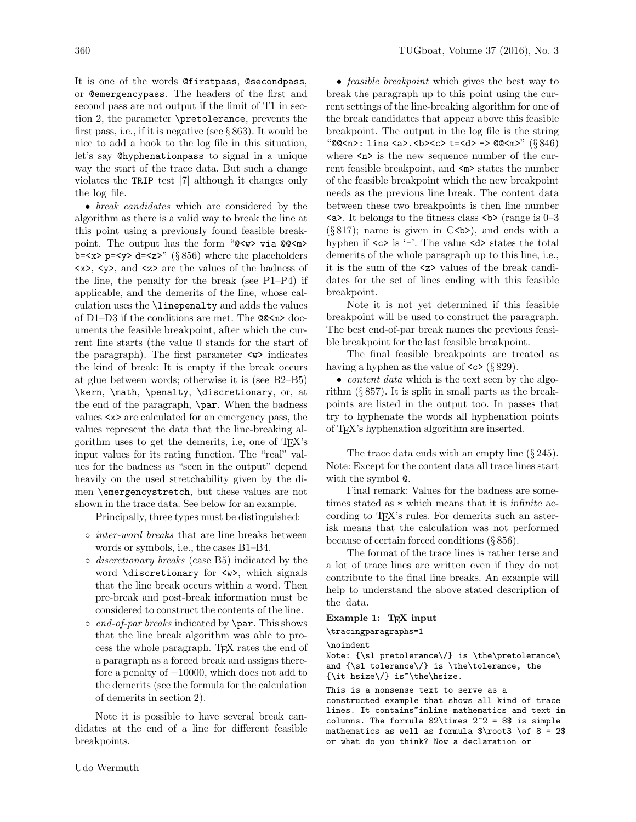It is one of the words @firstpass, @secondpass, or @emergencypass. The headers of the first and second pass are not output if the limit of T1 in section 2, the parameter \pretolerance, prevents the first pass, i.e., if it is negative (see  $\S 863$ ). It would be nice to add a hook to the log file in this situation, let's say @hyphenationpass to signal in a unique way the start of the trace data. But such a change violates the TRIP test [7] although it changes only the log file.

• break candidates which are considered by the algorithm as there is a valid way to break the line at this point using a previously found feasible breakpoint. The output has the form "@<w> via @@<m> b= $\langle x \rangle$  p= $\langle y \rangle$  d= $\langle z \rangle$ " (§ 856) where the placeholders  $\langle x \rangle$ ,  $\langle y \rangle$ , and  $\langle z \rangle$  are the values of the badness of the line, the penalty for the break (see P1–P4) if applicable, and the demerits of the line, whose calculation uses the \linepenalty and adds the values of D1–D3 if the conditions are met. The @@<m> documents the feasible breakpoint, after which the current line starts (the value 0 stands for the start of the paragraph). The first parameter <w> indicates the kind of break: It is empty if the break occurs at glue between words; otherwise it is (see B2–B5) \kern, \math, \penalty, \discretionary, or, at the end of the paragraph, \par. When the badness values <x> are calculated for an emergency pass, the values represent the data that the line-breaking algorithm uses to get the demerits, i.e, one of TEX's input values for its rating function. The "real" values for the badness as "seen in the output" depend heavily on the used stretchability given by the dimen \emergencystretch, but these values are not shown in the trace data. See below for an example.

Principally, three types must be distinguished:

- inter-word breaks that are line breaks between words or symbols, i.e., the cases B1–B4.
- discretionary breaks (case B5) indicated by the word \discretionary for <w>, which signals that the line break occurs within a word. Then pre-break and post-break information must be considered to construct the contents of the line.
- $\circ$  end-of-par breaks indicated by **\par**. This shows that the line break algorithm was able to process the whole paragraph. TEX rates the end of a paragraph as a forced break and assigns therefore a penalty of −10000, which does not add to the demerits (see the formula for the calculation of demerits in section 2).

Note it is possible to have several break candidates at the end of a line for different feasible breakpoints.

• *feasible breakpoint* which gives the best way to break the paragraph up to this point using the current settings of the line-breaking algorithm for one of the break candidates that appear above this feasible breakpoint. The output in the log file is the string " $@@**n**$ : line <a>.<br>  $b$ ><br/><br>  $b$ ><c> t=<d> ->  $@@**m**$ " ( $§ 846$ ) where  $\langle n \rangle$  is the new sequence number of the current feasible breakpoint, and  $\langle m \rangle$  states the number of the feasible breakpoint which the new breakpoint needs as the previous line break. The content data between these two breakpoints is then line number  $\langle a \rangle$ . It belongs to the fitness class  $\langle b \rangle$  (range is 0–3  $(\S 817)$ ; name is given in C<br/>b>), and ends with a hyphen if  $\langle c \rangle$  is '-'. The value  $\langle d \rangle$  states the total demerits of the whole paragraph up to this line, i.e., it is the sum of the <z> values of the break candidates for the set of lines ending with this feasible breakpoint.

Note it is not yet determined if this feasible breakpoint will be used to construct the paragraph. The best end-of-par break names the previous feasible breakpoint for the last feasible breakpoint.

The final feasible breakpoints are treated as having a hyphen as the value of  $\langle \csc \rangle$  (§ 829).

• *content data* which is the text seen by the algorithm  $(\S 857)$ . It is split in small parts as the breakpoints are listed in the output too. In passes that try to hyphenate the words all hyphenation points of TEX's hyphenation algorithm are inserted.

The trace data ends with an empty line (§ 245). Note: Except for the content data all trace lines start with the symbol @.

Final remark: Values for the badness are sometimes stated as \* which means that it is infinite according to T<sub>EX</sub>'s rules. For demerits such an asterisk means that the calculation was not performed because of certain forced conditions (§ 856).

The format of the trace lines is rather terse and a lot of trace lines are written even if they do not contribute to the final line breaks. An example will help to understand the above stated description of the data.

## Example 1: TEX input

# \tracingparagraphs=1

\noindent

Note: {\sl pretolerance\/} is \the\pretolerance\ and {\sl tolerance\/} is \the\tolerance, the  $\{\it\}$  hsize $\;\}$  is  $\it\$  the hsize.

This is a nonsense text to serve as a constructed example that shows all kind of trace lines. It contains<sup>"</sup>inline mathematics and text in columns. The formula  $2^2 = 8$ \$ is simple mathematics as well as formula  $\root{0}$  of 8 = 2\$ or what do you think? Now a declaration or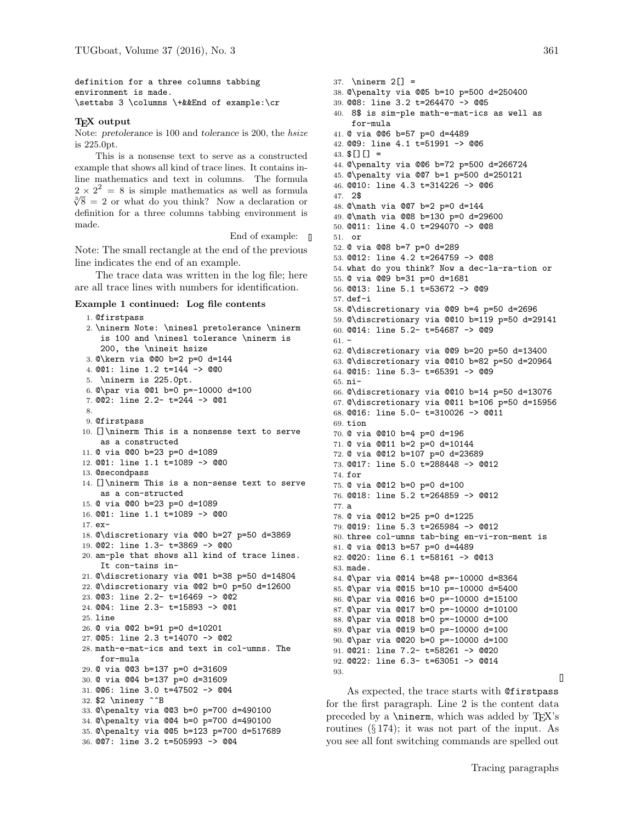definition for a three columns tabbing environment is made. \settabs 3 \columns \+&&End of example:\cr

#### T<sub>F</sub>X output

Note: pretolerance is 100 and tolerance is 200, the hsize is 225.0pt.

This is a nonsense text to serve as a constructed example that shows all kind of trace lines. It contains inline mathematics and text in columns. The formula  $2 \times 2^2 = 8$  is simple mathematics as well as formula  $\sqrt[3]{8}$  = 2 or what do you think? Now a declaration or definition for a three columns tabbing environment is made.

End of example:  $\blacksquare$ 

Note: The small rectangle at the end of the previous line indicates the end of an example.

The trace data was written in the log file; here are all trace lines with numbers for identification.

#### Example 1 continued: Log file contents

1. @firstpass 2. \ninerm Note: \ninesl pretolerance \ninerm is 100 and \ninesl tolerance \ninerm is 200, the \nineit hsize 3. @\kern via @@0 b=2 p=0 d=144 4. @@1: line 1.2 t=144 -> @@0 5. \ninerm is 225.0pt. 6. @\par via @@1 b=0 p=-10000 d=100 7. @@2: line 2.2- t=244 -> @@1 8. 9. @firstpass 10. []\ninerm This is a nonsense text to serve as a constructed 11. @ via @@0 b=23 p=0 d=1089 12. @@1: line 1.1 t=1089 -> @@0 13. @secondpass 14. []\ninerm This is a non-sense text to serve as a con-structed 15. @ via @@0 b=23 p=0 d=1089 16. @@1: line 1.1 t=1089 -> @@0 17. ex-18. @\discretionary via @@0 b=27 p=50 d=3869 19. @@2: line 1.3- t=3869 -> @@0 20. am-ple that shows all kind of trace lines. It con-tains in-21. @\discretionary via @@1 b=38 p=50 d=14804 22. @\discretionary via @@2 b=0 p=50 d=12600 23. @@3: line 2.2- t=16469 -> @@2 24. @@4: line 2.3- t=15893 -> @@1 25. line 26. @ via @@2 b=91 p=0 d=10201 27. @@5: line 2.3 t=14070 -> @@2 28. math-e-mat-ics and text in col-umns. The for-mula 29. @ via @@3 b=137 p=0 d=31609 30. @ via @@4 b=137 p=0 d=31609 31. @@6: line 3.0 t=47502 -> @@4 32. \$2 \ninesy ^^B 33. @\penalty via @@3 b=0 p=700 d=490100 34. @\penalty via @@4 b=0 p=700 d=490100 35. @\penalty via @@5 b=123 p=700 d=517689 36. @@7: line 3.2 t=505993 -> @@4

37. \ninerm 2[] = 38. @\penalty via @@5 b=10 p=500 d=250400 39. @@8: line 3.2 t=264470 -> @@5 40. 8\$ is sim-ple math-e-mat-ics as well as for-mula 41. @ via @@6 b=57 p=0 d=4489 42. @@9: line 4.1 t=51991 -> @@6 43.  $[$ [][] = 44. @\penalty via @@6 b=72 p=500 d=266724 45. @\penalty via @@7 b=1 p=500 d=250121 46. @@10: line 4.3 t=314226 -> @@6 47. 2\$ 48. @\math via @@7 b=2 p=0 d=144 49. @\math via @@8 b=130 p=0 d=29600 50. @@11: line 4.0 t=294070 -> @@8 51. or 52. @ via @@8 b=7 p=0 d=289 53. @@12: line 4.2 t=264759 -> @@8 54. what do you think? Now a dec-la-ra-tion or 55. @ via @@9 b=31 p=0 d=1681 56. @@13: line 5.1 t=53672 -> @@9 57. def-i 58. @\discretionary via @@9 b=4 p=50 d=2696 59. @\discretionary via @@10 b=119 p=50 d=29141 60. @@14: line 5.2- t=54687 -> @@9  $61. -$ 62. @\discretionary via @@9 b=20 p=50 d=13400 63. @\discretionary via @@10 b=82 p=50 d=20964 64. @@15: line 5.3- t=65391 -> @@9 65. ni-66. @\discretionary via @@10 b=14 p=50 d=13076 67. @\discretionary via @@11 b=106 p=50 d=15956 68. @@16: line 5.0- t=310026 -> @@11 69. tion 70. @ via @@10 b=4 p=0 d=196 71. @ via @@11 b=2 p=0 d=10144 72. @ via @@12 b=107 p=0 d=23689 73. @@17: line 5.0 t=288448 -> @@12 74. for 75. @ via @@12 b=0 p=0 d=100 76. @@18: line 5.2 t=264859 -> @@12 77. a 78. @ via @@12 b=25 p=0 d=1225 79. @@19: line 5.3 t=265984 -> @@12 80. three col-umns tab-bing en-vi-ron-ment is 81. @ via @@13 b=57 p=0 d=4489 82. @@20: line 6.1 t=58161 -> @@13 83. made. 84. @\par via @@14 b=48 p=-10000 d=8364 85. @\par via @@15 b=10 p=-10000 d=5400 86. @\par via @@16 b=0 p=-10000 d=15100 87. @\par via @@17 b=0 p=-10000 d=10100 88. @\par via @@18 b=0 p=-10000 d=100 89. @\par via @@19 b=0 p=-10000 d=100 90. @\par via @@20 b=0 p=-10000 d=100 91. @@21: line 7.2- t=58261 -> @@20 92. @@22: line 6.3- t=63051 -> @@14 93.

As expected, the trace starts with @firstpass for the first paragraph. Line 2 is the content data preceded by a  $\prime$ ninerm, which was added by T<sub>E</sub>X's routines  $(\S 174)$ ; it was not part of the input. As you see all font switching commands are spelled out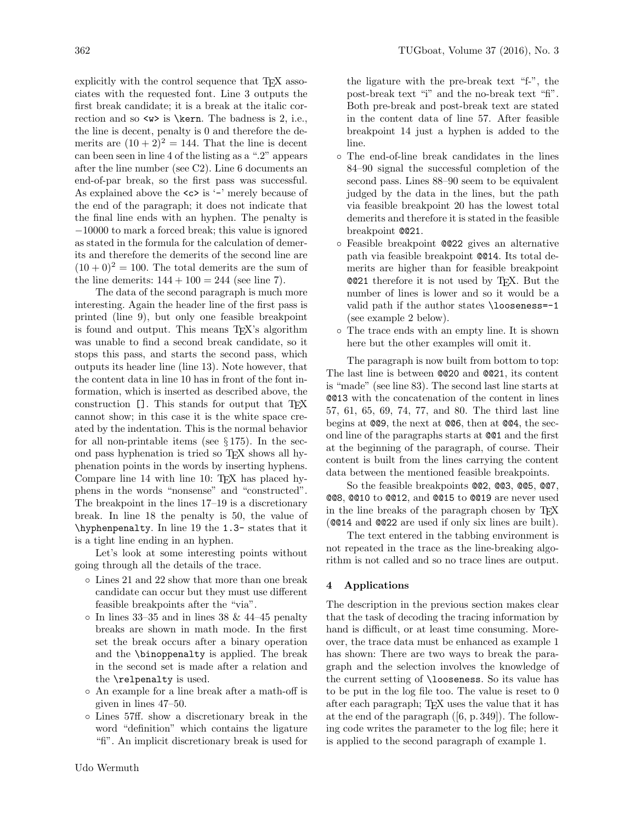explicitly with the control sequence that T<sub>EX</sub> associates with the requested font. Line 3 outputs the first break candidate; it is a break at the italic correction and so  $>$  is \kern. The badness is 2, i.e., the line is decent, penalty is 0 and therefore the demerits are  $(10 + 2)^2 = 144$ . That the line is decent can been seen in line 4 of the listing as a ".2" appears after the line number (see C2). Line 6 documents an end-of-par break, so the first pass was successful. As explained above the  $\langle c \rangle$  is '-' merely because of the end of the paragraph; it does not indicate that the final line ends with an hyphen. The penalty is −10000 to mark a forced break; this value is ignored as stated in the formula for the calculation of demerits and therefore the demerits of the second line are  $(10 + 0)^2 = 100$ . The total demerits are the sum of the line demerits:  $144 + 100 = 244$  (see line 7).

The data of the second paragraph is much more interesting. Again the header line of the first pass is printed (line 9), but only one feasible breakpoint is found and output. This means TEX's algorithm was unable to find a second break candidate, so it stops this pass, and starts the second pass, which outputs its header line (line 13). Note however, that the content data in line 10 has in front of the font information, which is inserted as described above, the construction []. This stands for output that T<sub>EX</sub> cannot show; in this case it is the white space created by the indentation. This is the normal behavior for all non-printable items (see  $\S 175$ ). In the second pass hyphenation is tried so TEX shows all hyphenation points in the words by inserting hyphens. Compare line 14 with line 10: T<sub>EX</sub> has placed hyphens in the words "nonsense" and "constructed". The breakpoint in the lines 17–19 is a discretionary break. In line 18 the penalty is 50, the value of \hyphenpenalty. In line 19 the 1.3- states that it is a tight line ending in an hyphen.

Let's look at some interesting points without going through all the details of the trace.

- Lines 21 and 22 show that more than one break candidate can occur but they must use different feasible breakpoints after the "via".
- $\circ$  In lines 33–35 and in lines 38 & 44–45 penalty breaks are shown in math mode. In the first set the break occurs after a binary operation and the \binoppenalty is applied. The break in the second set is made after a relation and the \relpenalty is used.
- An example for a line break after a math-off is given in lines 47–50.
- Lines 57ff. show a discretionary break in the word "definition" which contains the ligature "fi". An implicit discretionary break is used for

the ligature with the pre-break text "f-", the post-break text "i" and the no-break text "fi". Both pre-break and post-break text are stated in the content data of line 57. After feasible breakpoint 14 just a hyphen is added to the line.

- The end-of-line break candidates in the lines 84–90 signal the successful completion of the second pass. Lines 88–90 seem to be equivalent judged by the data in the lines, but the path via feasible breakpoint 20 has the lowest total demerits and therefore it is stated in the feasible breakpoint @@21.
- Feasible breakpoint @@22 gives an alternative path via feasible breakpoint @@14. Its total demerits are higher than for feasible breakpoint @@21 therefore it is not used by TEX. But the number of lines is lower and so it would be a valid path if the author states \looseness=-1 (see example 2 below).
- The trace ends with an empty line. It is shown here but the other examples will omit it.

The paragraph is now built from bottom to top: The last line is between @@20 and @@21, its content is "made" (see line 83). The second last line starts at @@13 with the concatenation of the content in lines 57, 61, 65, 69, 74, 77, and 80. The third last line begins at @@9, the next at @@6, then at @@4, the second line of the paragraphs starts at @@1 and the first at the beginning of the paragraph, of course. Their content is built from the lines carrying the content data between the mentioned feasible breakpoints.

So the feasible breakpoints @@2, @@3, @@5, @@7, @@8, @@10 to @@12, and @@15 to @@19 are never used in the line breaks of the paragraph chosen by TEX (@@14 and @@22 are used if only six lines are built).

The text entered in the tabbing environment is not repeated in the trace as the line-breaking algorithm is not called and so no trace lines are output.

## 4 Applications

The description in the previous section makes clear that the task of decoding the tracing information by hand is difficult, or at least time consuming. Moreover, the trace data must be enhanced as example 1 has shown: There are two ways to break the paragraph and the selection involves the knowledge of the current setting of \looseness. So its value has to be put in the log file too. The value is reset to 0 after each paragraph; TEX uses the value that it has at the end of the paragraph ([6, p. 349]). The following code writes the parameter to the log file; here it is applied to the second paragraph of example 1.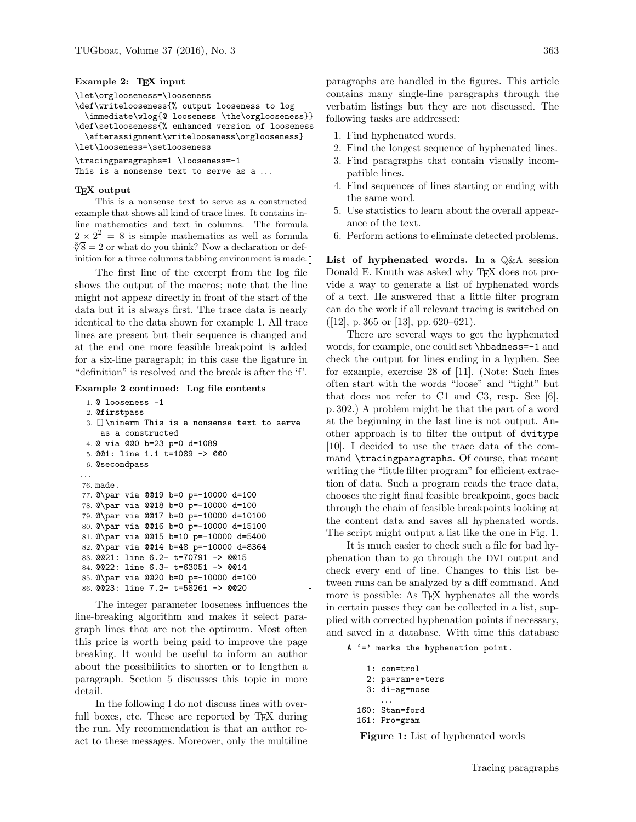#### Example 2: T<sub>F</sub>X input

```
\let\orglooseness=\looseness
```

```
\def\writelooseness{% output looseness to log
```
\immediate\wlog{@ looseness \the\orglooseness}} \def\setlooseness{% enhanced version of looseness

```
\afterassignment\writelooseness\orglooseness}
```

```
\let\looseness=\setlooseness
```

```
\tracingparagraphs=1 \looseness=-1
```

```
This is a nonsense text to serve as a ...
```
#### T<sub>F</sub>X output

This is a nonsense text to serve as a constructed example that shows all kind of trace lines. It contains inline mathematics and text in columns. The formula  $2 \times 2^2 = 8$  is simple mathematics as well as formula  $\sqrt[3]{8} = 2$  or what do you think? Now a declaration or definition for a three columns tabbing environment is made.

The first line of the excerpt from the log file shows the output of the macros; note that the line might not appear directly in front of the start of the data but it is always first. The trace data is nearly identical to the data shown for example 1. All trace lines are present but their sequence is changed and at the end one more feasible breakpoint is added for a six-line paragraph; in this case the ligature in "definition" is resolved and the break is after the 'f'.

Example 2 continued: Log file contents

```
1. @ looseness -1
 2. @firstpass
 3. []\ninerm This is a nonsense text to serve
    as a constructed
 4. @ via @@0 b=23 p=0 d=1089
 5. @@1: line 1.1 t=1089 -> @@0
 6. @secondpass
. . .
76. made.
77. @\par via @@19 b=0 p=-10000 d=100
78. @\par via @@18 b=0 p=-10000 d=100
79. @\par via @@17 b=0 p=-10000 d=10100
80. @\par via @@16 b=0 p=-10000 d=15100
81. @\par via @@15 b=10 p=-10000 d=5400
82. @\par via @@14 b=48 p=-10000 d=8364
83. @@21: line 6.2- t=70791 -> @@15
84. @@22: line 6.3- t=63051 -> @@14
85. @\par via @@20 b=0 p=-10000 d=100
86. @@23: line 7.2- t=58261 -> @@20
```
The integer parameter looseness influences the line-breaking algorithm and makes it select paragraph lines that are not the optimum. Most often this price is worth being paid to improve the page breaking. It would be useful to inform an author about the possibilities to shorten or to lengthen a paragraph. Section 5 discusses this topic in more detail.

In the following I do not discuss lines with overfull boxes, etc. These are reported by T<sub>EX</sub> during the run. My recommendation is that an author react to these messages. Moreover, only the multiline

paragraphs are handled in the figures. This article contains many single-line paragraphs through the verbatim listings but they are not discussed. The following tasks are addressed:

- 1. Find hyphenated words.
- 2. Find the longest sequence of hyphenated lines.
- 3. Find paragraphs that contain visually incompatible lines.
- 4. Find sequences of lines starting or ending with the same word.
- 5. Use statistics to learn about the overall appearance of the text.
- 6. Perform actions to eliminate detected problems.

List of hyphenated words. In a Q&A session Donald E. Knuth was asked why T<sub>E</sub>X does not provide a way to generate a list of hyphenated words of a text. He answered that a little filter program can do the work if all relevant tracing is switched on  $([12], p. 365 \text{ or } [13], pp. 620-621).$ 

There are several ways to get the hyphenated words, for example, one could set \hbadness=-1 and check the output for lines ending in a hyphen. See for example, exercise 28 of [11]. (Note: Such lines often start with the words "loose" and "tight" but that does not refer to C1 and C3, resp. See [6], p. 302.) A problem might be that the part of a word at the beginning in the last line is not output. Another approach is to filter the output of dvitype [10]. I decided to use the trace data of the command \tracingparagraphs. Of course, that meant writing the "little filter program" for efficient extraction of data. Such a program reads the trace data, chooses the right final feasible breakpoint, goes back through the chain of feasible breakpoints looking at the content data and saves all hyphenated words. The script might output a list like the one in Fig. 1.

It is much easier to check such a file for bad hyphenation than to go through the DVI output and check every end of line. Changes to this list between runs can be analyzed by a diff command. And more is possible: As T<sub>EX</sub> hyphenates all the words in certain passes they can be collected in a list, supplied with corrected hyphenation points if necessary, and saved in a database. With time this database

 $A' ='$  marks the hyphenation point.

```
1: con=trol
  2: pa=ram-e-ters
  3: di-ag=nose
     . . .
160: Stan=ford
161: Pro=gram
```
 $\mathbf{I}$ 

Figure 1: List of hyphenated words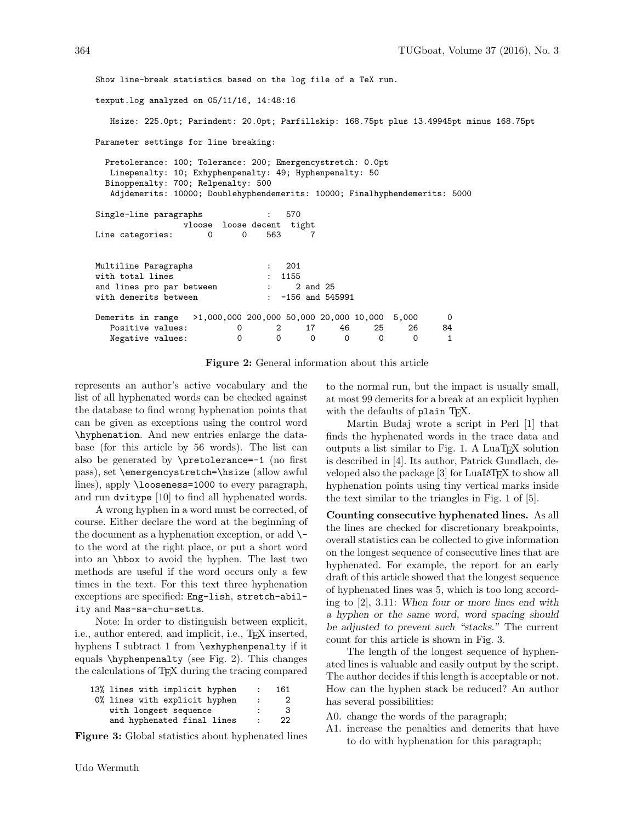Show line-break statistics based on the log file of a TeX run. texput.log analyzed on 05/11/16, 14:48:16 Hsize: 225.0pt; Parindent: 20.0pt; Parfillskip: 168.75pt plus 13.49945pt minus 168.75pt Parameter settings for line breaking: Pretolerance: 100; Tolerance: 200; Emergencystretch: 0.0pt Linepenalty: 10; Exhyphenpenalty: 49; Hyphenpenalty: 50 Binoppenalty: 700; Relpenalty: 500 Adjdemerits: 10000; Doublehyphendemerits: 10000; Finalhyphendemerits: 5000 Single-line paragraphs : 570 vloose loose decent tight Line categories:  $0$  0 563 7 Multiline Paragraphs : 201 with total lines (300) 323-3355 (3155) and lines pro par between : 2 and 25<br>with demerits between : -156 and 545991 with demerits between : Demerits in range >1,000,000 200,000 50,000 20,000 10,000 5,000 0 Positive values: 0 2 17 46 25 26 84 Negative values:  $0 \t 0 \t 0 \t 0 \t 0 \t 0$ 

Figure 2: General information about this article

represents an author's active vocabulary and the list of all hyphenated words can be checked against the database to find wrong hyphenation points that can be given as exceptions using the control word \hyphenation. And new entries enlarge the database (for this article by 56 words). The list can also be generated by  $\preceq$ -1 (no first pass), set \emergencystretch=\hsize (allow awful lines), apply \looseness=1000 to every paragraph, and run dvitype [10] to find all hyphenated words.

A wrong hyphen in a word must be corrected, of course. Either declare the word at the beginning of the document as a hyphenation exception, or add  $\setminus$ to the word at the right place, or put a short word into an \hbox to avoid the hyphen. The last two methods are useful if the word occurs only a few times in the text. For this text three hyphenation exceptions are specified: Eng-lish, stretch-ability and Mas-sa-chu-setts.

Note: In order to distinguish between explicit, i.e., author entered, and implicit, i.e., TEX inserted, hyphens I subtract 1 from \exhyphenpenalty if it equals \hyphenpenalty (see Fig. 2). This changes the calculations of TEX during the tracing compared

| 13% lines with implicit hyphen | $\ddot{\phantom{a}}$ | 161 |
|--------------------------------|----------------------|-----|
| 0% lines with explicit hyphen  | $\mathbf{r}$         | 2   |
| with longest sequence          |                      | з   |
| and hyphenated final lines     | $\bullet$            | 22  |
|                                |                      |     |

Figure 3: Global statistics about hyphenated lines

to the normal run, but the impact is usually small, at most 99 demerits for a break at an explicit hyphen with the defaults of plain TEX.

Martin Budaj wrote a script in Perl [1] that finds the hyphenated words in the trace data and outputs a list similar to Fig. 1. A LuaT<sub>EX</sub> solution is described in [4]. Its author, Patrick Gundlach, developed also the package [3] for LuaLAT<sub>F</sub>X to show all hyphenation points using tiny vertical marks inside the text similar to the triangles in Fig. 1 of [5].

Counting consecutive hyphenated lines. As all the lines are checked for discretionary breakpoints, overall statistics can be collected to give information on the longest sequence of consecutive lines that are hyphenated. For example, the report for an early draft of this article showed that the longest sequence of hyphenated lines was 5, which is too long according to [2], 3.11: When four or more lines end with a hyphen or the same word, word spacing should be adjusted to prevent such "stacks." The current count for this article is shown in Fig. 3.

The length of the longest sequence of hyphenated lines is valuable and easily output by the script. The author decides if this length is acceptable or not. How can the hyphen stack be reduced? An author has several possibilities:

- A0. change the words of the paragraph;
- A1. increase the penalties and demerits that have to do with hyphenation for this paragraph;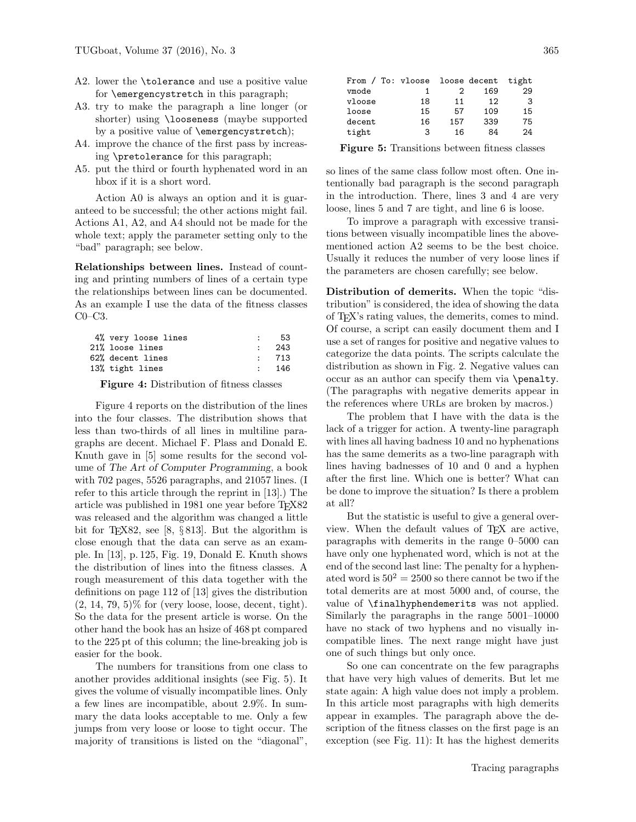- A2. lower the **\tolerance** and use a positive value for \emergencystretch in this paragraph;
- A3. try to make the paragraph a line longer (or shorter) using \looseness (maybe supported by a positive value of \emergencystretch);
- A4. improve the chance of the first pass by increasing \pretolerance for this paragraph;
- A5. put the third or fourth hyphenated word in an hbox if it is a short word.

Action A0 is always an option and it is guaranteed to be successful; the other actions might fail. Actions A1, A2, and A4 should not be made for the whole text; apply the parameter setting only to the "bad" paragraph; see below.

Relationships between lines. Instead of counting and printing numbers of lines of a certain type the relationships between lines can be documented. As an example I use the data of the fitness classes C0–C3.

| 4% very loose lines |                   | 53    |
|---------------------|-------------------|-------|
| 21% loose lines     | $\sim$ 100 $\sim$ | -243  |
| 62% decent lines    |                   | : 713 |
| 13% tight lines     |                   | - 146 |

Figure 4: Distribution of fitness classes

Figure 4 reports on the distribution of the lines into the four classes. The distribution shows that less than two-thirds of all lines in multiline paragraphs are decent. Michael F. Plass and Donald E. Knuth gave in [5] some results for the second volume of The Art of Computer Programming, a book with 702 pages, 5526 paragraphs, and 21057 lines. (I refer to this article through the reprint in [13].) The article was published in 1981 one year before TEX82 was released and the algorithm was changed a little bit for T<sub>E</sub>X82, see [8,  $\S 813$ ]. But the algorithm is close enough that the data can serve as an example. In [13], p. 125, Fig. 19, Donald E. Knuth shows the distribution of lines into the fitness classes. A rough measurement of this data together with the definitions on page 112 of [13] gives the distribution  $(2, 14, 79, 5)\%$  for (very loose, loose, decent, tight). So the data for the present article is worse. On the other hand the book has an hsize of 468 pt compared to the 225 pt of this column; the line-breaking job is easier for the book.

The numbers for transitions from one class to another provides additional insights (see Fig. 5). It gives the volume of visually incompatible lines. Only a few lines are incompatible, about 2.9%. In summary the data looks acceptable to me. Only a few jumps from very loose or loose to tight occur. The majority of transitions is listed on the "diagonal",

| From / To: vloose loose decent |    |     |     | tight |
|--------------------------------|----|-----|-----|-------|
| vmode                          |    |     | 169 | 29    |
| vloose                         | 18 | 11  | 12  | 3     |
| loose                          | 15 | 57  | 109 | 15    |
| decent                         | 16 | 157 | 339 | 75    |
| tight                          | з  | 16  | 84  | 24    |
|                                |    |     |     |       |

Figure 5: Transitions between fitness classes

so lines of the same class follow most often. One intentionally bad paragraph is the second paragraph in the introduction. There, lines 3 and 4 are very loose, lines 5 and 7 are tight, and line 6 is loose.

To improve a paragraph with excessive transitions between visually incompatible lines the abovementioned action A2 seems to be the best choice. Usually it reduces the number of very loose lines if the parameters are chosen carefully; see below.

Distribution of demerits. When the topic "distribution" is considered, the idea of showing the data of TEX's rating values, the demerits, comes to mind. Of course, a script can easily document them and I use a set of ranges for positive and negative values to categorize the data points. The scripts calculate the distribution as shown in Fig. 2. Negative values can occur as an author can specify them via \penalty. (The paragraphs with negative demerits appear in the references where URLs are broken by macros.)

The problem that I have with the data is the lack of a trigger for action. A twenty-line paragraph with lines all having badness 10 and no hyphenations has the same demerits as a two-line paragraph with lines having badnesses of 10 and 0 and a hyphen after the first line. Which one is better? What can be done to improve the situation? Is there a problem at all?

But the statistic is useful to give a general overview. When the default values of TEX are active, paragraphs with demerits in the range 0–5000 can have only one hyphenated word, which is not at the end of the second last line: The penalty for a hyphenated word is  $50^2 = 2500$  so there cannot be two if the total demerits are at most 5000 and, of course, the value of \finalhyphendemerits was not applied. Similarly the paragraphs in the range 5001–10000 have no stack of two hyphens and no visually incompatible lines. The next range might have just one of such things but only once.

So one can concentrate on the few paragraphs that have very high values of demerits. But let me state again: A high value does not imply a problem. In this article most paragraphs with high demerits appear in examples. The paragraph above the description of the fitness classes on the first page is an exception (see Fig. 11): It has the highest demerits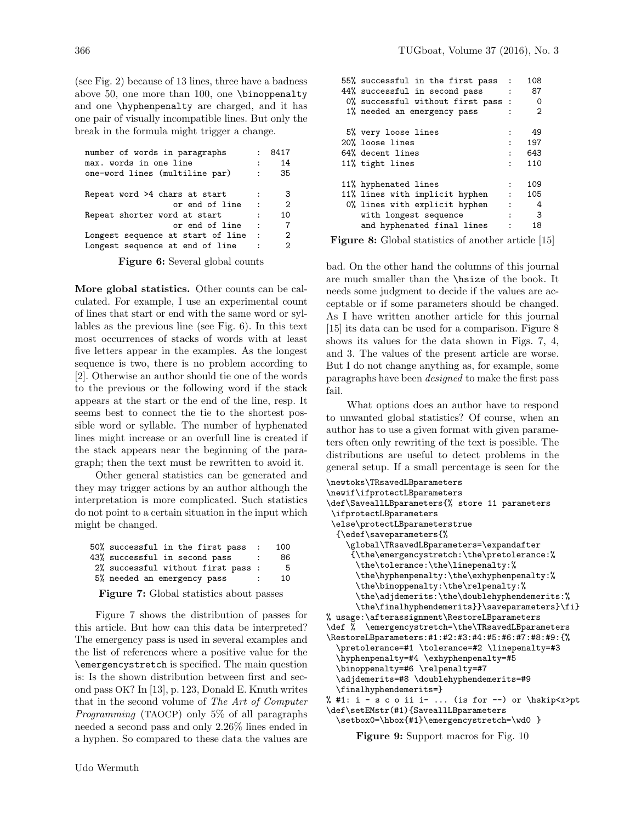(see Fig. 2) because of 13 lines, three have a badness above 50, one more than 100, one \binoppenalty and one \hyphenpenalty are charged, and it has one pair of visually incompatible lines. But only the break in the formula might trigger a change.

| number of words in paragraphs     |              | 8417           |  |  |  |  |  |  |  |
|-----------------------------------|--------------|----------------|--|--|--|--|--|--|--|
| max. words in one line<br>14      |              |                |  |  |  |  |  |  |  |
| one-word lines (multiline par)    | $\mathbf{r}$ | 35             |  |  |  |  |  |  |  |
| Repeat word >4 chars at start     | $\cdot$      | 3              |  |  |  |  |  |  |  |
| or end of line                    | $\cdot$ :    | $\overline{2}$ |  |  |  |  |  |  |  |
| Repeat shorter word at start      |              | 10             |  |  |  |  |  |  |  |
| or end of line                    | $\cdot$      | 7              |  |  |  |  |  |  |  |
| Longest sequence at start of line | $\cdot$ :    | 2              |  |  |  |  |  |  |  |
| Longest sequence at end of line   |              | 2              |  |  |  |  |  |  |  |

Figure 6: Several global counts

More global statistics. Other counts can be calculated. For example, I use an experimental count of lines that start or end with the same word or syllables as the previous line (see Fig. 6). In this text most occurrences of stacks of words with at least five letters appear in the examples. As the longest sequence is two, there is no problem according to [2]. Otherwise an author should tie one of the words to the previous or the following word if the stack appears at the start or the end of the line, resp. It seems best to connect the tie to the shortest possible word or syllable. The number of hyphenated lines might increase or an overfull line is created if the stack appears near the beginning of the paragraph; then the text must be rewritten to avoid it.

Other general statistics can be generated and they may trigger actions by an author although the interpretation is more complicated. Such statistics do not point to a certain situation in the input which might be changed.

| 50% successful in the first pass   | $\sim$ 1.1 | 100 |
|------------------------------------|------------|-----|
| 43% successful in second pass      |            | 86  |
| 2% successful without first pass : |            | 5   |
| 5% needed an emergency pass        | ÷          | 10  |

Figure 7: Global statistics about passes

Figure 7 shows the distribution of passes for this article. But how can this data be interpreted? The emergency pass is used in several examples and the list of references where a positive value for the \emergencystretch is specified. The main question is: Is the shown distribution between first and second pass OK? In [13], p. 123, Donald E. Knuth writes that in the second volume of The Art of Computer Programming (TAOCP) only 5% of all paragraphs needed a second pass and only 2.26% lines ended in a hyphen. So compared to these data the values are

| 55% successful in the first pass :<br>44% successful in second pass<br>$-1.1$<br>0% successful without first pass :<br>1% needed an emergency pass |                                                               | 108<br>87<br>- 0<br>2 |
|----------------------------------------------------------------------------------------------------------------------------------------------------|---------------------------------------------------------------|-----------------------|
| 5% very loose lines                                                                                                                                | ÷                                                             | 49                    |
| 20% loose lines                                                                                                                                    | $\mathbf{r}$                                                  | 197                   |
| 64% decent lines                                                                                                                                   | $\mathbf{r}$                                                  | 643                   |
| 11% tight lines                                                                                                                                    | $\cdot$                                                       | 110                   |
| 11% hyphenated lines<br>11% lines with implicit hyphen<br>0% lines with explicit hyphen                                                            | $\mathbf{r}$<br><b>Contract Contract</b><br>$\sim$ 100 $\sim$ | 109<br>105<br>- 4     |
| with longest sequence                                                                                                                              | $\mathbf{r}$                                                  | $_{3}$                |
| and hyphenated final lines                                                                                                                         |                                                               | 18                    |
|                                                                                                                                                    |                                                               |                       |

Figure 8: Global statistics of another article [15]

bad. On the other hand the columns of this journal are much smaller than the \hsize of the book. It needs some judgment to decide if the values are acceptable or if some parameters should be changed. As I have written another article for this journal [15] its data can be used for a comparison. Figure 8 shows its values for the data shown in Figs. 7, 4, and 3. The values of the present article are worse. But I do not change anything as, for example, some paragraphs have been designed to make the first pass fail.

What options does an author have to respond to unwanted global statistics? Of course, when an author has to use a given format with given parameters often only rewriting of the text is possible. The distributions are useful to detect problems in the general setup. If a small percentage is seen for the

```
\newtoks\TRsavedLBparameters
\newif\ifprotectLBparameters
\def\SaveallLBparameters{% store 11 parameters
\ifprotectLBparameters
\else\protectLBparameterstrue
  {\edef\saveparameters{%
    \global\TRsavedLBparameters=\expandafter
     {\the\emergencystretch:\the\pretolerance:%
      \the\tolerance:\the\linepenalty:%
      \the\hyphenpenalty:\the\exhyphenpenalty:%
      \the\binoppenalty:\the\relpenalty:%
      \the\adjdemerits:\the\doublehyphendemerits:%
      \the\finalhyphendemerits}}\saveparameters}\fi}
% usage:\afterassignment\RestoreLBparameters
\def % \emergencystretch=\the\TRsavedLBparameters
\RestoreLBparameters:#1:#2:#3:#4:#5:#6:#7:#8:#9:{%
  \pretolerance=#1 \tolerance=#2 \linepenalty=#3
  \hyphenpenalty=#4 \exhyphenpenalty=#5
  \binoppenalty=#6 \relpenalty=#7
  \adjdemerits=#8 \doublehyphendemerits=#9
  \finalhyphendemerits=}
% #1: i - s c o ii i- ... (is for --) or \hskip<x>pt
\def\setEMstr(#1){SaveallLBparameters
```
\setbox0=\hbox{#1}\emergencystretch=\wd0 }

Figure 9: Support macros for Fig. 10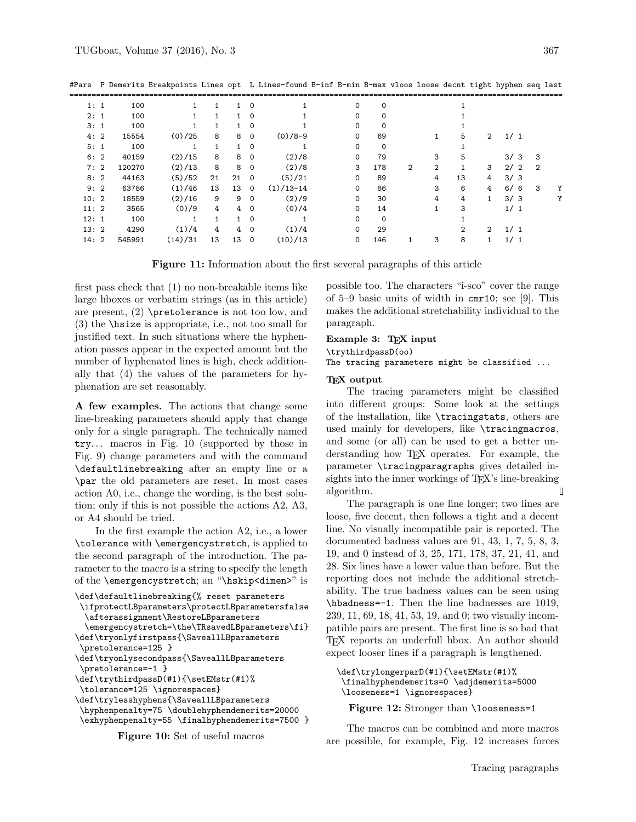| 1:1  | 100    |         |    |    | $\Omega$    |             | 0        | $\Omega$ |   |              |                |               |     |   |                |   |
|------|--------|---------|----|----|-------------|-------------|----------|----------|---|--------------|----------------|---------------|-----|---|----------------|---|
| 2:1  | 100    |         |    |    | $\mathbf 0$ |             | 0        | 0        |   |              |                |               |     |   |                |   |
| 3:1  | 100    |         |    |    | $\Omega$    |             | $\Omega$ | $\Omega$ |   |              |                |               |     |   |                |   |
| 4:2  | 15554  | (0)/25  | 8  | 8  | $\mathbf 0$ | $(0)/8-9$   | 0        | 69       |   | 1            | 5              | 2             | 1/1 |   |                |   |
| 5:1  | 100    |         |    |    | $\Omega$    |             | $\Omega$ | $\Omega$ |   |              |                |               |     |   |                |   |
| 6:2  | 40159  | (2)/15  | 8  | 8  | $\mathbf 0$ | (2)/8       | 0        | 79       |   | 3            | 5              |               | 3/3 |   | 3              |   |
| 7:2  | 120270 | (2)/13  | 8  | 8  | $\mathbf 0$ | (2)/8       | 3        | 178      | 2 | $\mathbf{2}$ |                | 3             | 2/2 |   | $\overline{2}$ |   |
| 8:2  | 44163  | (5)/52  | 21 | 21 | $\Omega$    | (5)/21      | $\Omega$ | 89       |   | 4            | 13             | 4             | 3/3 |   |                |   |
| 9:2  | 63786  | (1)/46  | 13 | 13 | $\Omega$    | $(1)/13-14$ | 0        | 86       |   | 3            | 6              | 4             | 6/  | 6 | 3              | Υ |
| 10:2 | 18559  | (2)/16  | 9  | 9  | $\Omega$    | (2)/9       | 0        | 30       |   | 4            | 4              |               | 3/3 |   |                | Υ |
| 11:2 | 3565   | (0)/9   | 4  | 4  | $\Omega$    | (0)/4       | $\Omega$ | 14       |   |              | 3              |               | 1/1 |   |                |   |
| 12:1 | 100    | 1       |    |    | $\Omega$    |             | 0        | $\Omega$ |   |              |                |               |     |   |                |   |
| 13:2 | 4290   | (1)/4   | 4  | 4  | $\Omega$    | (1)/4       | $\Omega$ | 29       |   |              | $\overline{2}$ | $\mathcal{D}$ | 1/1 |   |                |   |
| 14:2 | 545991 | (14)/31 | 13 | 13 | 0           | (10)/13     | 0        | 146      |   | 3            | 8              |               | 1/1 |   |                |   |

#Pars P Demerits Breakpoints Lines opt L Lines-found B-inf B-min B-max vloos loose decnt tight hyphen seq last

Figure 11: Information about the first several paragraphs of this article

first pass check that (1) no non-breakable items like large hboxes or verbatim strings (as in this article) are present, (2) \pretolerance is not too low, and (3) the \hsize is appropriate, i.e., not too small for justified text. In such situations where the hyphenation passes appear in the expected amount but the number of hyphenated lines is high, check additionally that (4) the values of the parameters for hyphenation are set reasonably.

A few examples. The actions that change some line-breaking parameters should apply that change only for a single paragraph. The technically named  $try...$  macros in Fig. 10 (supported by those in Fig. 9) change parameters and with the command \defaultlinebreaking after an empty line or a \par the old parameters are reset. In most cases action A0, i.e., change the wording, is the best solution; only if this is not possible the actions A2, A3, or A4 should be tried.

In the first example the action A2, i.e., a lower \tolerance with \emergencystretch, is applied to the second paragraph of the introduction. The parameter to the macro is a string to specify the length of the \emergencystretch; an "\hskip<dimen>" is

```
\def\defaultlinebreaking{% reset parameters
```

```
\ifprotectLBparameters\protectLBparametersfalse
 \afterassignment\RestoreLBparameters
```

```
\emergencystretch=\the\TRsavedLBparameters\fi}
\def\tryonlyfirstpass{\SaveallLBparameters
\pretolerance=125 }
```
\def\tryonlysecondpass{\SaveallLBparameters \pretolerance=-1 }

```
\def\trythirdpassD(#1){\setEMstr(#1)%
```

```
\tolerance=125 \ignorespaces}
```

```
\def\trylesshyphens{\SaveallLBparameters
\hyphenpenalty=75 \doublehyphendemerits=20000
 \exhyphenpenalty=55 \finalhyphendemerits=7500 }
```

```
Figure 10: Set of useful macros
```
possible too. The characters "i-sco" cover the range of 5–9 basic units of width in cmr10; see [9]. This makes the additional stretchability individual to the paragraph.

## Example 3: TEX input

\trythirdpassD(oo)

The tracing parameters might be classified ...

### T<sub>F</sub>X output

The tracing parameters might be classified into different groups: Some look at the settings of the installation, like \tracingstats, others are used mainly for developers, like \tracingmacros, and some (or all) can be used to get a better understanding how TEX operates. For example, the parameter \tracingparagraphs gives detailed insights into the inner workings of T<sub>E</sub>X's line-breaking algorithm.  $\Box$ 

The paragraph is one line longer; two lines are loose, five decent, then follows a tight and a decent line. No visually incompatible pair is reported. The documented badness values are 91, 43, 1, 7, 5, 8, 3, 19, and 0 instead of 3, 25, 171, 178, 37, 21, 41, and 28. Six lines have a lower value than before. But the reporting does not include the additional stretchability. The true badness values can be seen using \hbadness=-1. Then the line badnesses are 1019, 239, 11, 69, 18, 41, 53, 19, and 0; two visually incompatible pairs are present. The first line is so bad that TEX reports an underfull hbox. An author should expect looser lines if a paragraph is lengthened.

```
\def\trylongerparD(#1){\setEMstr(#1)%
\finalhyphendemerits=0 \adjdemerits=5000
\looseness=1 \ignorespaces}
```
Figure 12: Stronger than \looseness=1

The macros can be combined and more macros are possible, for example, Fig. 12 increases forces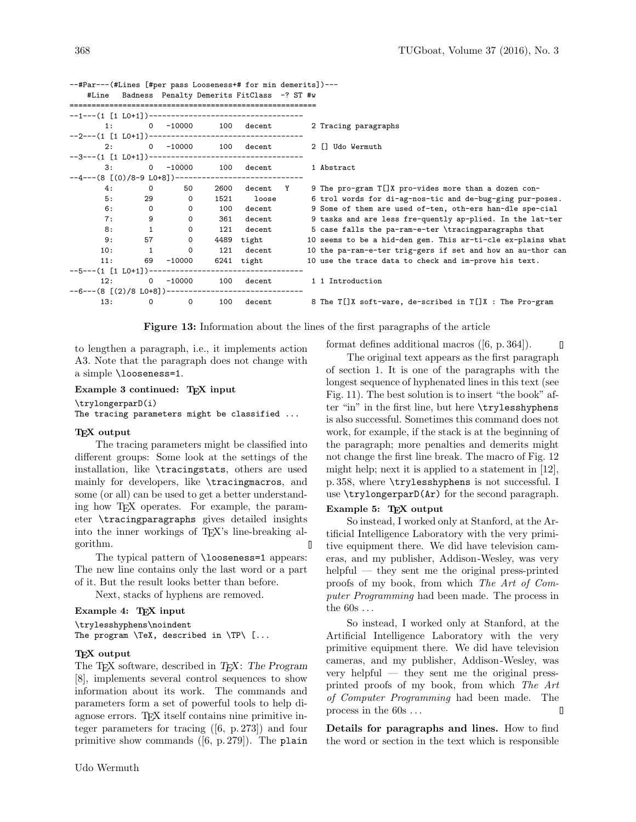|                                                  |                      |              |      | #Line Badness Penalty Demerits FitClass -? ST #w |   |                                                             |
|--------------------------------------------------|----------------------|--------------|------|--------------------------------------------------|---|-------------------------------------------------------------|
|                                                  |                      |              |      |                                                  |   |                                                             |
|                                                  | $1:$ $\qquad \qquad$ | $0 - 10000$  | 100  | $\mathtt{decent}$                                |   | 2 Tracing paragraphs                                        |
|                                                  |                      |              |      |                                                  |   |                                                             |
| 2:                                               |                      | $0 - 10000$  |      | 100 decent                                       |   | 2 [] Udo Wermuth                                            |
|                                                  |                      |              |      |                                                  |   |                                                             |
| 3:                                               |                      | $0 - 10000$  | 100  | decent                                           |   | 1 Abstract                                                  |
| $-4--(8$ [(0)/8-9 L0+8])------------------------ |                      |              |      |                                                  |   |                                                             |
| 4:                                               | $\circ$              | 50           | 2600 | decent                                           | Y | 9 The pro-gram T[]X pro-vides more than a dozen con-        |
| 5:                                               | 29                   | $\mathbf 0$  | 1521 | loose                                            |   | 6 trol words for di-ag-nos-tic and de-bug-ging pur-poses.   |
| 6:                                               | $\circ$              | $\mathsf{O}$ | 100  | decent                                           |   | 9 Some of them are used of-ten, oth-ers han-dle spe-cial    |
| 7:                                               | 9                    | $\mathsf{O}$ | 361  | decent                                           |   | 9 tasks and are less fre-quently ap-plied. In the lat-ter   |
| 8:                                               | $\mathbf{1}$         | $\mathsf{O}$ | 121  | decent                                           |   | 5 case falls the pa-ram-e-ter \tracingparagraphs that       |
| 9:                                               | 57                   | $\mathsf{O}$ | 4489 | tight                                            |   | 10 seems to be a hid-den gem. This ar-ti-cle ex-plains what |
| 10:                                              | 1                    | $\mathbf 0$  | 121  | decent                                           |   | 10 the pa-ram-e-ter trig-gers if set and how an au-thor can |
| 11:                                              | 69                   | $-10000$     |      | 6241 tight                                       |   | 10 use the trace data to check and im-prove his text.       |
| $--5---(1 [1 L0+1])--$                           |                      |              |      | ---------------------------------                |   |                                                             |
| 12:                                              | $\overline{0}$       | $-10000$     |      | 100 decent                                       |   | 1 1 Introduction                                            |
|                                                  |                      |              |      |                                                  |   |                                                             |
| 13:                                              | $\mathbf 0$          | $\mathsf{o}$ | 100  | decent                                           |   | 8 The T[]X soft-ware, de-scribed in T[]X : The Pro-gram     |

--#Par---(#Lines [#per pass Looseness+# for min demerits])--- #Line Badness Penalty Demerits FitClass -? ST #w

Figure 13: Information about the lines of the first paragraphs of the article

to lengthen a paragraph, i.e., it implements action A3. Note that the paragraph does not change with a simple \looseness=1.

## Example 3 continued: T<sub>F</sub>X input

\trylongerparD(i)

The tracing parameters might be classified ...

### T<sub>F</sub>X output

The tracing parameters might be classified into different groups: Some look at the settings of the installation, like \tracingstats, others are used mainly for developers, like \tracingmacros, and some (or all) can be used to get a better understanding how TEX operates. For example, the parameter \tracingparagraphs gives detailed insights into the inner workings of T<sub>EX</sub>'s line-breaking algorithm.  $\mathbb I$ 

The typical pattern of **\looseness=1** appears: The new line contains only the last word or a part of it. But the result looks better than before.

Next, stacks of hyphens are removed.

## Example 4: TEX input

\trylesshyphens\noindent The program \TeX, described in \TP\ [...

#### TEX output

The TEX software, described in TEX: The Program [8], implements several control sequences to show information about its work. The commands and parameters form a set of powerful tools to help diagnose errors. TEX itself contains nine primitive integer parameters for tracing ([6, p. 273]) and four primitive show commands ([6, p. 279]). The plain

format defines additional macros ([6, p. 364]).

О

The original text appears as the first paragraph of section 1. It is one of the paragraphs with the longest sequence of hyphenated lines in this text (see Fig. 11). The best solution is to insert "the book" after "in" in the first line, but here \trylesshyphens is also successful. Sometimes this command does not work, for example, if the stack is at the beginning of the paragraph; more penalties and demerits might not change the first line break. The macro of Fig. 12 might help; next it is applied to a statement in [12], p. 358, where \trylesshyphens is not successful. I use \trylongerparD(Ar) for the second paragraph.

## Example 5: TEX output

So instead, I worked only at Stanford, at the Artificial Intelligence Laboratory with the very primitive equipment there. We did have television cameras, and my publisher, Addison -Wesley, was very helpful — they sent me the original press-printed proofs of my book, from which The Art of Computer Programming had been made. The process in the  $60s...$ 

So instead, I worked only at Stanford, at the Artificial Intelligence Laboratory with the very primitive equipment there. We did have television cameras, and my publisher, Addison -Wesley, was very helpful — they sent me the original pressprinted proofs of my book, from which The Art of Computer Programming had been made. The process in the 60s . . . 0

Details for paragraphs and lines. How to find the word or section in the text which is responsible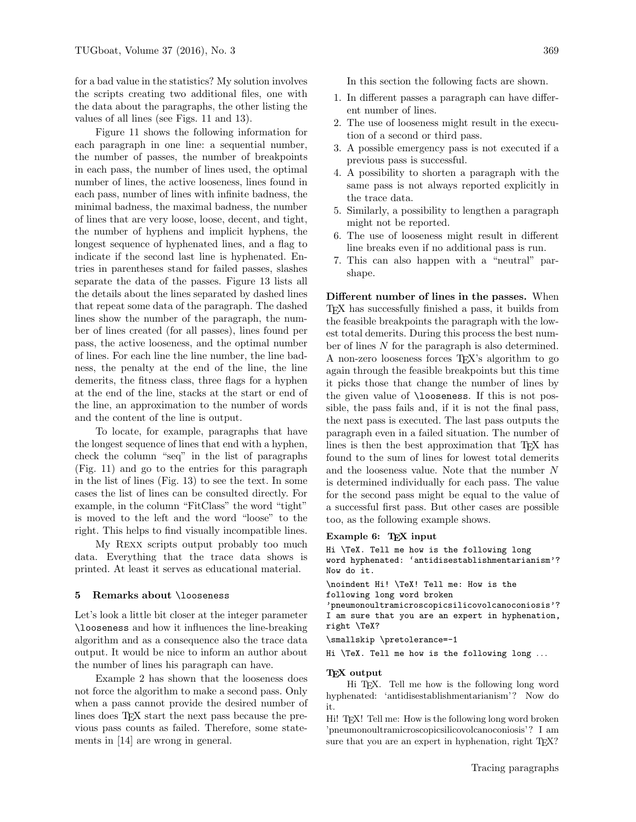for a bad value in the statistics? My solution involves the scripts creating two additional files, one with the data about the paragraphs, the other listing the values of all lines (see Figs. 11 and 13).

Figure 11 shows the following information for each paragraph in one line: a sequential number, the number of passes, the number of breakpoints in each pass, the number of lines used, the optimal number of lines, the active looseness, lines found in each pass, number of lines with infinite badness, the minimal badness, the maximal badness, the number of lines that are very loose, loose, decent, and tight, the number of hyphens and implicit hyphens, the longest sequence of hyphenated lines, and a flag to indicate if the second last line is hyphenated. Entries in parentheses stand for failed passes, slashes separate the data of the passes. Figure 13 lists all the details about the lines separated by dashed lines that repeat some data of the paragraph. The dashed lines show the number of the paragraph, the number of lines created (for all passes), lines found per pass, the active looseness, and the optimal number of lines. For each line the line number, the line badness, the penalty at the end of the line, the line demerits, the fitness class, three flags for a hyphen at the end of the line, stacks at the start or end of the line, an approximation to the number of words and the content of the line is output.

To locate, for example, paragraphs that have the longest sequence of lines that end with a hyphen, check the column "seq" in the list of paragraphs (Fig. 11) and go to the entries for this paragraph in the list of lines (Fig. 13) to see the text. In some cases the list of lines can be consulted directly. For example, in the column "FitClass" the word "tight" is moved to the left and the word "loose" to the right. This helps to find visually incompatible lines.

My Rexx scripts output probably too much data. Everything that the trace data shows is printed. At least it serves as educational material.

## 5 Remarks about \looseness

Let's look a little bit closer at the integer parameter \looseness and how it influences the line-breaking algorithm and as a consequence also the trace data output. It would be nice to inform an author about the number of lines his paragraph can have.

Example 2 has shown that the looseness does not force the algorithm to make a second pass. Only when a pass cannot provide the desired number of lines does T<sub>E</sub>X start the next pass because the previous pass counts as failed. Therefore, some statements in [14] are wrong in general.

In this section the following facts are shown.

- 1. In different passes a paragraph can have different number of lines.
- 2. The use of looseness might result in the execution of a second or third pass.
- 3. A possible emergency pass is not executed if a previous pass is successful.
- 4. A possibility to shorten a paragraph with the same pass is not always reported explicitly in the trace data.
- 5. Similarly, a possibility to lengthen a paragraph might not be reported.
- 6. The use of looseness might result in different line breaks even if no additional pass is run.
- 7. This can also happen with a "neutral" parshape.

Different number of lines in the passes. When TEX has successfully finished a pass, it builds from the feasible breakpoints the paragraph with the lowest total demerits. During this process the best number of lines N for the paragraph is also determined. A non-zero looseness forces TEX's algorithm to go again through the feasible breakpoints but this time it picks those that change the number of lines by the given value of \looseness. If this is not possible, the pass fails and, if it is not the final pass, the next pass is executed. The last pass outputs the paragraph even in a failed situation. The number of lines is then the best approximation that TEX has found to the sum of lines for lowest total demerits and the looseness value. Note that the number N is determined individually for each pass. The value for the second pass might be equal to the value of a successful first pass. But other cases are possible too, as the following example shows.

#### Example 6: TEX input

Hi \TeX. Tell me how is the following long word hyphenated: 'antidisestablishmentarianism'? Now do it.

\noindent Hi! \TeX! Tell me: How is the

following long word broken

'pneumonoultramicroscopicsilicovolcanoconiosis'? I am sure that you are an expert in hyphenation, right \TeX?

\smallskip \pretolerance=-1

Hi \TeX. Tell me how is the following long ...

#### TEX output

Hi TEX. Tell me how is the following long word hyphenated: 'antidisestablishmentarianism'? Now do it.

Hi! T<sub>E</sub>X! Tell me: How is the following long word broken 'pneumonoultramicroscopicsilicovolcanoconiosis'? I am sure that you are an expert in hyphenation, right TEX?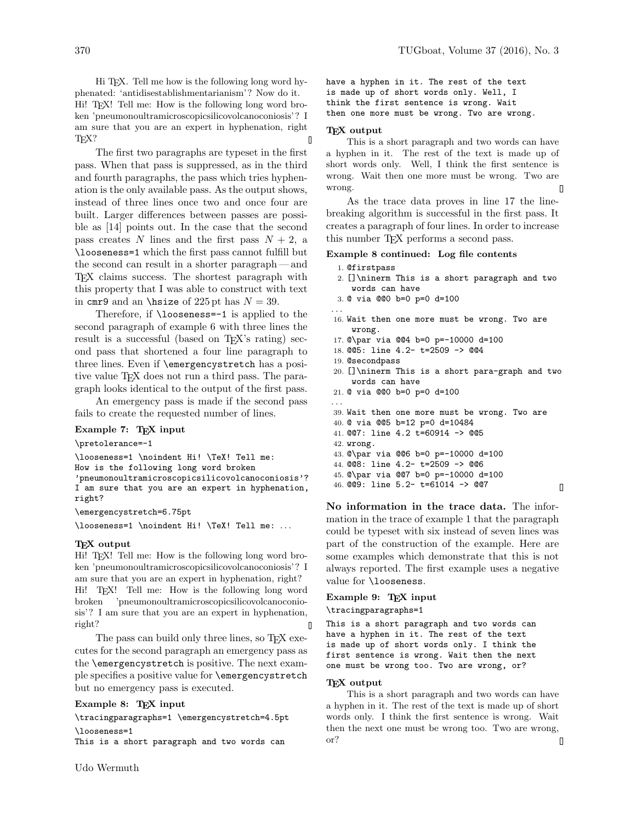Hi TEX. Tell me how is the following long word hyphenated: 'antidisestablishmentarianism'? Now do it. Hi! TEX! Tell me: How is the following long word broken 'pneumonoultramicroscopicsilicovolcanoconiosis'? I am sure that you are an expert in hyphenation, right T<sub>F</sub>X?  $\mathbb I$ 

The first two paragraphs are typeset in the first pass. When that pass is suppressed, as in the third and fourth paragraphs, the pass which tries hyphenation is the only available pass. As the output shows, instead of three lines once two and once four are built. Larger differences between passes are possible as [14] points out. In the case that the second pass creates N lines and the first pass  $N + 2$ , a \looseness=1 which the first pass cannot fulfill but the second can result in a shorter paragraph — and TEX claims success. The shortest paragraph with this property that I was able to construct with text in cmr9 and an \hisize of 225 pt has  $N = 39$ .

Therefore, if \looseness=-1 is applied to the second paragraph of example 6 with three lines the result is a successful (based on T<sub>EX</sub>'s rating) second pass that shortened a four line paragraph to three lines. Even if \emergencystretch has a positive value TEX does not run a third pass. The paragraph looks identical to the output of the first pass.

An emergency pass is made if the second pass fails to create the requested number of lines.

#### Example 7: T<sub>F</sub>X input

\pretolerance=-1

\looseness=1 \noindent Hi! \TeX! Tell me: How is the following long word broken 'pneumonoultramicroscopicsilicovolcanoconiosis'? I am sure that you are an expert in hyphenation, right?

\emergencystretch=6.75pt

\looseness=1 \noindent Hi! \TeX! Tell me: ...

#### T<sub>F</sub>X output

Hi! TEX! Tell me: How is the following long word broken 'pneumonoultramicroscopicsilicovolcanoconiosis'? I am sure that you are an expert in hyphenation, right? Hi! TEX! Tell me: How is the following long word broken 'pneumonoultramicroscopicsilicovolcanoconiosis'? I am sure that you are an expert in hyphenation, right?  $\blacksquare$ 

The pass can build only three lines, so T<sub>E</sub>X executes for the second paragraph an emergency pass as the \emergencystretch is positive. The next example specifies a positive value for \emergencystretch but no emergency pass is executed.

Example 8: TEX input

\tracingparagraphs=1 \emergencystretch=4.5pt \looseness=1

This is a short paragraph and two words can

have a hyphen in it. The rest of the text is made up of short words only. Well, I think the first sentence is wrong. Wait then one more must be wrong. Two are wrong.

#### TEX output

This is a short paragraph and two words can have a hyphen in it. The rest of the text is made up of short words only. Well, I think the first sentence is wrong. Wait then one more must be wrong. Two are wrong.  $\blacksquare$ 

As the trace data proves in line 17 the linebreaking algorithm is successful in the first pass. It creates a paragraph of four lines. In order to increase this number TEX performs a second pass.

### Example 8 continued: Log file contents

- 1. @firstpass
- 2. []\ninerm This is a short paragraph and two words can have
- 3. @ via @@0 b=0 p=0 d=100
- . . .
- 16. Wait then one more must be wrong. Two are wrong.
- 17. @\par via @@4 b=0 p=-10000 d=100
- 18. @@5: line 4.2- t=2509 -> @@4
- 19. @secondpass
- 20. []\ninerm This is a short para-graph and two words can have
- 21. @ via @@0 b=0 p=0 d=100
- . . . 39. Wait then one more must be wrong. Two are 40. @ via @@5 b=12 p=0 d=10484 41. @@7: line 4.2 t=60914 -> @@5 42. wrong. 43. @\par via @@6 b=0 p=-10000 d=100 44. @@8: line 4.2- t=2509 -> @@6 45. @\par via @@7 b=0 p=-10000 d=100 46. @@9: line 5.2- t=61014 -> @@7

 $\overline{\mathsf{I}}$ 

No information in the trace data. The information in the trace of example 1 that the paragraph could be typeset with six instead of seven lines was part of the construction of the example. Here are some examples which demonstrate that this is not always reported. The first example uses a negative value for \looseness.

#### Example 9: TEX input

\tracingparagraphs=1

This is a short paragraph and two words can have a hyphen in it. The rest of the text is made up of short words only. I think the first sentence is wrong. Wait then the next one must be wrong too. Two are wrong, or?

## TEX output

This is a short paragraph and two words can have a hyphen in it. The rest of the text is made up of short words only. I think the first sentence is wrong. Wait then the next one must be wrong too. Two are wrong, or?  $\Box$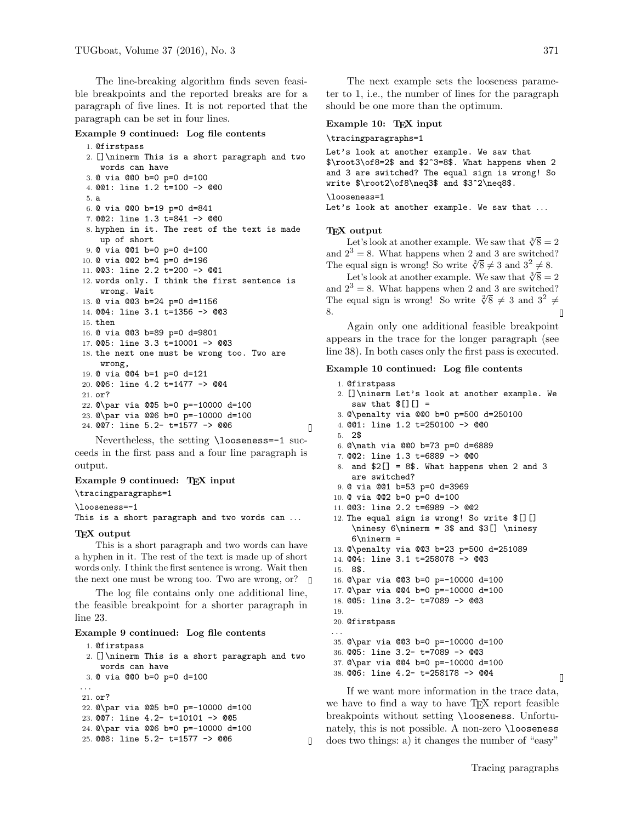The line-breaking algorithm finds seven feasible breakpoints and the reported breaks are for a paragraph of five lines. It is not reported that the paragraph can be set in four lines.

### Example 9 continued: Log file contents

```
1. @firstpass
2. []\ninerm This is a short paragraph and two
    words can have
3. @ via @@0 b=0 p=0 d=100
4. @@1: line 1.2 t=100 -> @@0
5. a
6. @ via @@0 b=19 p=0 d=841
7. @@2: line 1.3 t=841 -> @@0
8. hyphen in it. The rest of the text is made
   up of short
9. @ via @@1 b=0 p=0 d=100
10. @ via @@2 b=4 p=0 d=196
11. @@3: line 2.2 t=200 -> @@1
12. words only. I think the first sentence is
    wrong. Wait
13. @ via @@3 b=24 p=0 d=1156
14. @@4: line 3.1 t=1356 -> @@3
15. then
16. @ via @@3 b=89 p=0 d=9801
17. @@5: line 3.3 t=10001 -> @@3
18. the next one must be wrong too. Two are
    wrong,
19. @ via @@4 b=1 p=0 d=121
20. @@6: line 4.2 t=1477 -> @@4
21. or?
22. @\par via @@5 b=0 p=-10000 d=100
23. @\par via @@6 b=0 p=-10000 d=100
24. @@7: line 5.2- t=1577 -> @@6
                                                 \mathsf{\Pi}
```
Nevertheless, the setting \looseness=-1 succeeds in the first pass and a four line paragraph is output.

## Example 9 continued: TEX input \tracingparagraphs=1

\looseness=-1

This is a short paragraph and two words can ...

#### T<sub>F</sub>X output

This is a short paragraph and two words can have a hyphen in it. The rest of the text is made up of short words only. I think the first sentence is wrong. Wait then the next one must be wrong too. Two are wrong, or?

The log file contains only one additional line, the feasible breakpoint for a shorter paragraph in line 23.

#### Example 9 continued: Log file contents

```
1. @firstpass
 2. []\ninerm This is a short paragraph and two
    words can have
 3. @ via @@0 b=0 p=0 d=100
. . .
21. or?
22. @\par via @@5 b=0 p=-10000 d=100
23. @@7: line 4.2- t=10101 -> @@5
24. @\par via @@6 b=0 p=-10000 d=100
25. @@8: line 5.2- t=1577 -> @@6
```
П

The next example sets the looseness parameter to 1, i.e., the number of lines for the paragraph should be one more than the optimum.

## Example 10: TEX input

#### \tracingparagraphs=1

Let's look at another example. We saw that \$\root3\of8=2\$ and \$2^3=8\$. What happens when 2 and 3 are switched? The equal sign is wrong! So write \$\root2\of8\neq3\$ and \$3^2\neq8\$.

#### \looseness=1

Let's look at another example. We saw that ...

### TEX output

Let's look at another example. We saw that  $\sqrt[3]{8} = 2$ and  $2^3 = 8$ . What happens when 2 and 3 are switched? The equal sign is wrong! So write  $\sqrt[3]{8} \neq 3$  and  $3^2 \neq 8$ .

Let's look at another example. We saw that  $\sqrt[3]{8} = 2$ and  $2^3 = 8$ . What happens when 2 and 3 are switched? The equal sign is wrong! So write  $\sqrt[3]{8} \neq 3$  and  $3^2 \neq 3$ 8.

Again only one additional feasible breakpoint appears in the trace for the longer paragraph (see line 38). In both cases only the first pass is executed.

### Example 10 continued: Log file contents

```
1. @firstpass
2. []\ninerm Let's look at another example. We
    saw that [[][] =
3. @\penalty via @@0 b=0 p=500 d=250100
4. @@1: line 1.2 t=250100 -> @@0
5. 2$
6. @\math via @@0 b=73 p=0 d=6889
7. @@2: line 1.3 t=6889 -> @@0
8. and $2[] = 8$. What happens when 2 and 3
    are switched?
9. @ via @@1 b=53 p=0 d=3969
10. @ via @@2 b=0 p=0 d=100
11. @@3: line 2.2 t=6989 -> @@2
12. The equal sign is wrong! So write I[]\ninesy 6\ninerm = 3$ and $3[] \ninesy
    6\13. @\penalty via @@3 b=23 p=500 d=251089
14. @@4: line 3.1 t=258078 -> @@3
15. 8$.
16. @\par via @@3 b=0 p=-10000 d=100
17. @\par via @@4 b=0 p=-10000 d=100
18. @@5: line 3.2- t=7089 -> @@3
19.
20. @firstpass
. . .
35. @\par via @@3 b=0 p=-10000 d=100
36. @@5: line 3.2- t=7089 -> @@3
37. @\par via @@4 b=0 p=-10000 d=100
38. @@6: line 4.2- t=258178 -> @@4
```
If we want more information in the trace data, we have to find a way to have T<sub>EX</sub> report feasible breakpoints without setting \looseness. Unfortunately, this is not possible. A non-zero \looseness does two things: a) it changes the number of "easy"

 $\overline{\mathsf{I}}$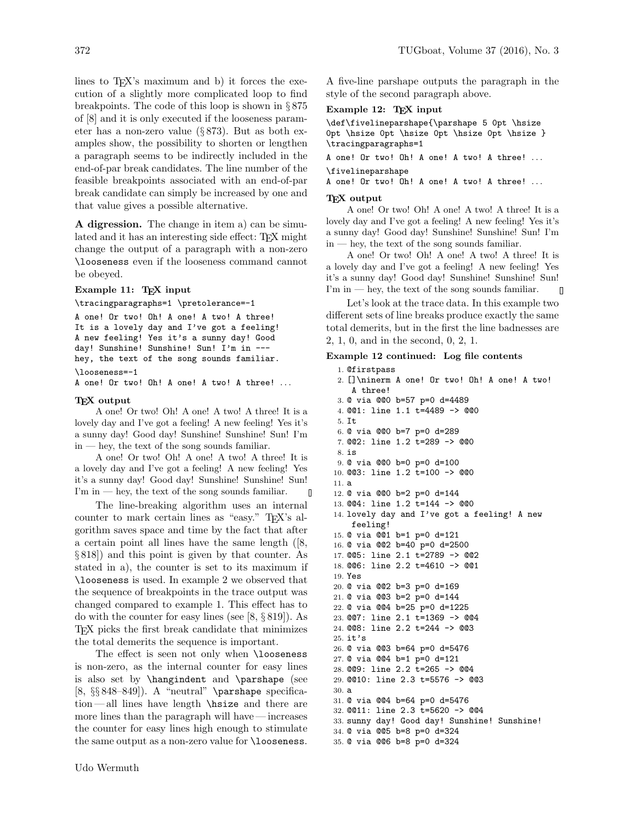lines to  $T_F X$ 's maximum and b) it forces the execution of a slightly more complicated loop to find breakpoints. The code of this loop is shown in § 875 of [8] and it is only executed if the looseness parameter has a non-zero value (§ 873). But as both examples show, the possibility to shorten or lengthen a paragraph seems to be indirectly included in the end-of-par break candidates. The line number of the feasible breakpoints associated with an end-of-par break candidate can simply be increased by one and that value gives a possible alternative.

A digression. The change in item a) can be simulated and it has an interesting side effect: TEX might change the output of a paragraph with a non-zero \looseness even if the looseness command cannot be obeyed.

## Example 11: TEX input

\tracingparagraphs=1 \pretolerance=-1

```
A one! Or two! Oh! A one! A two! A three!
It is a lovely day and I've got a feeling!
A new feeling! Yes it's a sunny day! Good
day! Sunshine! Sunshine! Sun! I'm in ---
hey, the text of the song sounds familiar.
```

```
\looseness=-1
```
A one! Or two! Oh! A one! A two! A three! ...

### T<sub>F</sub>X output

A one! Or two! Oh! A one! A two! A three! It is a lovely day and I've got a feeling! A new feeling! Yes it's a sunny day! Good day! Sunshine! Sunshine! Sun! I'm in — hey, the text of the song sounds familiar.

A one! Or two! Oh! A one! A two! A three! It is a lovely day and I've got a feeling! A new feeling! Yes it's a sunny day! Good day! Sunshine! Sunshine! Sun! I'm in — hey, the text of the song sounds familiar. П

The line-breaking algorithm uses an internal counter to mark certain lines as "easy." TEX's algorithm saves space and time by the fact that after a certain point all lines have the same length ([8, § 818]) and this point is given by that counter. As stated in a), the counter is set to its maximum if \looseness is used. In example 2 we observed that the sequence of breakpoints in the trace output was changed compared to example 1. This effect has to do with the counter for easy lines (see [8, § 819]). As TEX picks the first break candidate that minimizes the total demerits the sequence is important.

The effect is seen not only when **\looseness** is non-zero, as the internal counter for easy lines is also set by \hangindent and \parshape (see [8,  $\S § 848–849$ ]). A "neutral" \parshape specification — all lines have length \hsize and there are more lines than the paragraph will have — increases the counter for easy lines high enough to stimulate the same output as a non-zero value for **\looseness**. A five-line parshape outputs the paragraph in the style of the second paragraph above.

## Example 12: TEX input

\def\fivelineparshape{\parshape 5 0pt \hsize 0pt \hsize 0pt \hsize 0pt \hsize 0pt \hsize } \tracingparagraphs=1

A one! Or two! Oh! A one! A two! A three! ... \fivelineparshape

A one! Or two! Oh! A one! A two! A three! ...

#### T<sub>F</sub>X output

A one! Or two! Oh! A one! A two! A three! It is a lovely day and I've got a feeling! A new feeling! Yes it's a sunny day! Good day! Sunshine! Sunshine! Sun! I'm in — hey, the text of the song sounds familiar.

A one! Or two! Oh! A one! A two! A three! It is a lovely day and I've got a feeling! A new feeling! Yes it's a sunny day! Good day! Sunshine! Sunshine! Sun! I'm in — hey, the text of the song sounds familiar. 0

Let's look at the trace data. In this example two different sets of line breaks produce exactly the same total demerits, but in the first the line badnesses are 2, 1, 0, and in the second, 0, 2, 1.

## Example 12 continued: Log file contents

1. @firstpass 2. []\ninerm A one! Or two! Oh! A one! A two! A three! 3. @ via @@0 b=57 p=0 d=4489 4. @@1: line 1.1 t=4489 -> @@0 5. It 6. @ via @@0 b=7 p=0 d=289 7. @@2: line 1.2 t=289 -> @@0 8. is 9. @ via @@0 b=0 p=0 d=100 10. @@3: line 1.2 t=100 -> @@0 11. a 12. @ via @@0 b=2 p=0 d=144 13. @@4: line 1.2 t=144 -> @@0 14. lovely day and I've got a feeling! A new feeling! 15. @ via @@1 b=1 p=0 d=121 16. @ via @@2 b=40 p=0 d=2500 17. @@5: line 2.1 t=2789 -> @@2 18. @@6: line 2.2 t=4610 -> @@1 19. Yes 20. @ via @@2 b=3 p=0 d=169 21. @ via @@3 b=2 p=0 d=144 22. @ via @@4 b=25 p=0 d=1225 23. @@7: line 2.1 t=1369 -> @@4 24. @@8: line 2.2 t=244 -> @@3 25. it's 26. @ via @@3 b=64 p=0 d=5476 27. @ via @@4 b=1 p=0 d=121 28. @@9: line 2.2 t=265 -> @@4 29. @@10: line 2.3 t=5576 -> @@3 30. a 31. @ via @@4 b=64 p=0 d=5476 32. @@11: line 2.3 t=5620 -> @@4 33. sunny day! Good day! Sunshine! Sunshine! 34. @ via @@5 b=8 p=0 d=324 35. @ via @@6 b=8 p=0 d=324